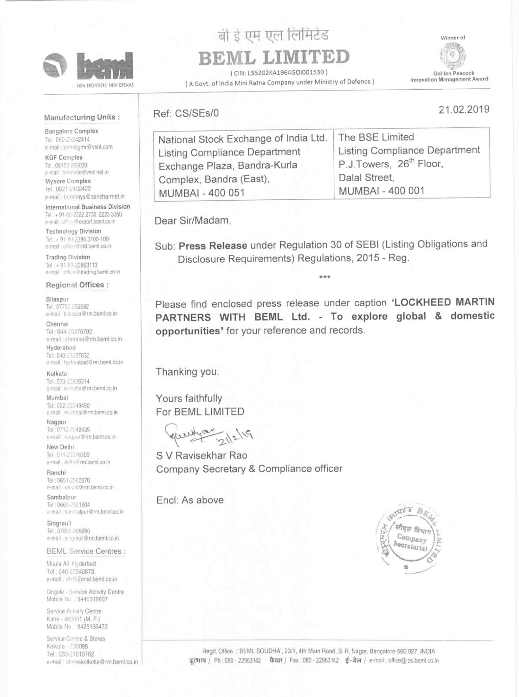

NEW FRONTIERS. NEW DREAMS

# बी ई एम एल लिमिटेड BEML LIMITED

CIN: L35202KA1964GOI001530)

(A Govt. of India Mini Ratna Company under Ministry of Defence)

Winner of



21.02.2019

Gol Jen Peacock Innovation Management Award

### Manufacturing Units:

**Bangalore Complex** Tel: 080-25242414 e-mail : bemlogmr@vsnl.com

**KGF Complex** Tel: 08153-263020 e-mail bemlede@vsnl.net.in

Mysore Complex Tel: 0821-2402422 e-mail: bomlmys@sancharmet.in

International Business Division Tel: +91-80-2222 2730, 2223 3350 e-mail: office@export.beml.co.in

**Technology Division** Tel: + 91-80-2296 3100-109 e-mail office@ctd.beml.co.in

**Trading Division** Tel: +91-80-22963113 e-mail: office@trading.beml.co.in

| Ref: CS/SEs/0                         |
|---------------------------------------|
| National Stock Exchange of India Ltd. |
| Listing Compliance Department         |

| National Stock Exchange of India Ltd. | The BSE Limited                     |
|---------------------------------------|-------------------------------------|
| Listing Compliance Department         | Listing Compliance Department       |
| Exchange Plaza, Bandra-Kurla          | P.J.Towers, 26 <sup>th</sup> Floor, |
| Complex, Bandra (East),               | Dalal Street,                       |
| <b>MUMBAI - 400 051</b>               | <b>MUMBAI - 400 001</b>             |

Dear Sir/Madam,

Sub: Press Release under Regulation 30 of SEBI (Listing Obligations and Disclosure Requirements) Regulations, 2015 - Reg.

#### **Regional Offices:**

#### Bilaspur Tel: 07752-252082

e-mail blaspur@rm.beml.co.in

#### Chennai

Tel: 044-28270792 e-mail: chennai@rm.beml.co.in Hyderabad

Tel: 040-23227032 e-mail : hyderabad@rm.beml.co.in

#### Kolkata

Tel: 033-22826314 e-mail . kolkatta@rm.beml.co in

Mumbai Tel: 022-22049490 e-mail : mumbal@rm.beml.co.in

Nagpur Tel: 0712-2248435 e-mail : naupur@rm.beml.co.in

New Delhi Tel: 011-20316500 e-mail : delhi @rm.beml.co.in

Ranchi Tel: 0651-2560370 e-mail ranchi@rm.beml.co.in

Sambalpur Tel: 0663-2521604 e-mail sambalpur@rm.beml.co.in

Singrauli Tel: 07805-268260 e-mail: singrauli@rm.beml.co.in

**BEML Service Centres:** 

Please find enclosed press release under caption 'LOCKHEED MARTIN PARTNERS WITH BEML Ltd. - To explore global & domestic opportunities' for your reference and records.

Thanking you.

Yours faithfully For BEML LIMITED

S V Ravisekhar Rao Company Secretary & Compliance officer

Encl: As above



Moula Ali. Hyderbad Tel: 040-27240873 e-mail: sh@Zonal.beml.co.in

Ongole - Service Activity Centre Mobile No : 9440312607

Service Activity Centre Katni - 483501 (M. P.) Mobile No 9425156473

Service Centre & Stores Kolkata - 700088 Tel: 033-24010782 e-mail: storeskolkotte@rm.beml.co.in

Regd. Office.: 'BEML SOUDHA', 23/1, 4th Main Road, S. R. Nagar, Bangalore-560 027. INDIA द्रश्भाष / Ph: 080 - 22963142 फैक्स / Fax: 080 - 22963142 ई-मेल / e-mail: office@cs.beml.co.in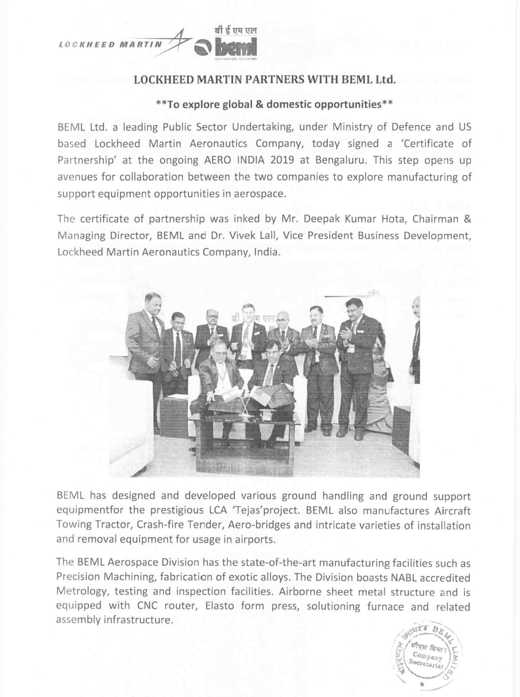

## LOCKHEED MARTIN PARTNERS WITH BEML Ltd.

# \*\*To explore global & domestic opportunities\*\*

BEML Ltd. <sup>a</sup> leading Public Sector Undertaking, under Ministry of Defence and US based Lockheed Martin Aeronautics Company, today signed <sup>a</sup> 'Certificate of Partnership' at the ongoing AERO INDIA 2019 at Bengaluru. This step opens up avenues for collaboration between the two companies to explore manufacturing of support equipment opportunities in aerospace.

The certificate of partnership was inked by Mr. Deepak Kumar Hota, Chairman & Managing Director, BEML and Dr. Vivek Lall, Vice President Business Development, Lockheed Martin Aeronautics Company, India.



The BEML Aerospace Division has the state-of-the-art manufacturing facilities such as Precision Machining, fabrication of exotic alloys. The Division boasts NABL accredited Metrology, testing and inspection facilities. Airborne sheet metal structure and is equipped with CNC router, Elasto form press, solutioning furnace and related assembly infrastructure.



BEML has designed and developed various ground handling and ground support equipmentfor the prestigious LCA 'Tejas'project. BEML also manufactures Aircraft Towing Tractor, Crash-fire Tender, Aero-bridges and intricate varieties of installation and removal equipment for usage in airports.